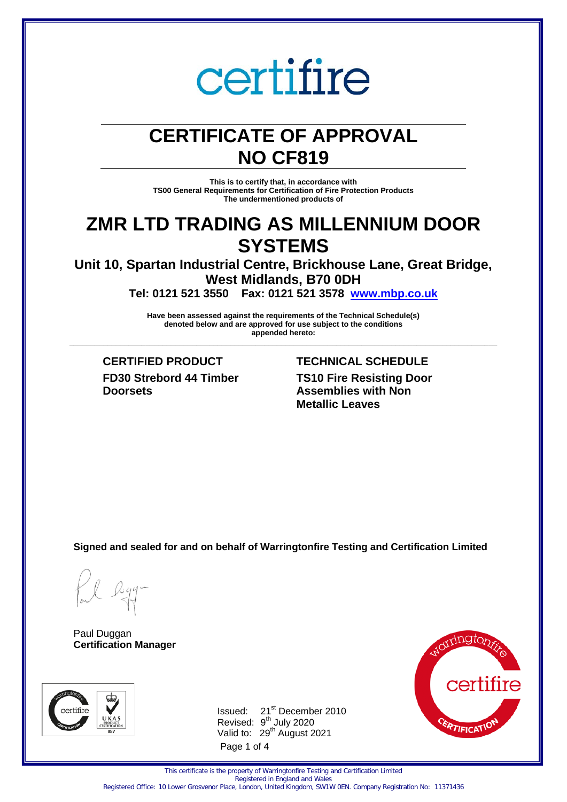## **CERTIFICATE OF APPROVAL NO CF819**

**This is to certify that, in accordance with TS00 General Requirements for Certification of Fire Protection Products The undermentioned products of** 

### **ZMR LTD TRADING AS MILLENNIUM DOOR SYSTEMS**

**Unit 10, Spartan Industrial Centre, Brickhouse Lane, Great Bridge, West Midlands, B70 0DH** 

**Tel: 0121 521 3550 Fax: 0121 521 3578 [www.mbp.co.uk](http://www.mbp.co.uk/)** 

**Have been assessed against the requirements of the Technical Schedule(s) denoted below and are approved for use subject to the conditions appended hereto: \_\_\_\_\_\_\_\_\_\_\_\_\_\_\_\_\_\_\_\_\_\_\_\_\_\_\_\_\_\_\_\_\_\_\_\_\_\_\_\_\_\_\_\_\_\_\_\_\_\_\_\_\_\_\_\_\_\_\_\_\_\_\_\_\_\_\_\_\_\_\_\_\_\_\_\_\_\_\_\_\_\_\_\_\_\_\_\_\_\_\_\_\_\_\_\_\_\_\_\_\_**

**CERTIFIED PRODUCT TECHNICAL SCHEDULE FD30 Strebord 44 Timber Doorsets**

**TS10 Fire Resisting Door Assemblies with Non Metallic Leaves**

**Signed and sealed for and on behalf of Warringtonfire Testing and Certification Limited**

Paul Duggan **Certification Manager**



Page 1 of 4 Issued: 21<sup>st</sup> December 2010 Revised: 9<sup>th</sup> July 2020 Valid to: 29<sup>th</sup> August 2021



This certificate is the property of Warringtonfire Testing and Certification Limited Registered in England and Wales

Registered Office: 10 Lower Grosvenor Place, London, United Kingdom, SW1W 0EN. Company Registration No: 11371436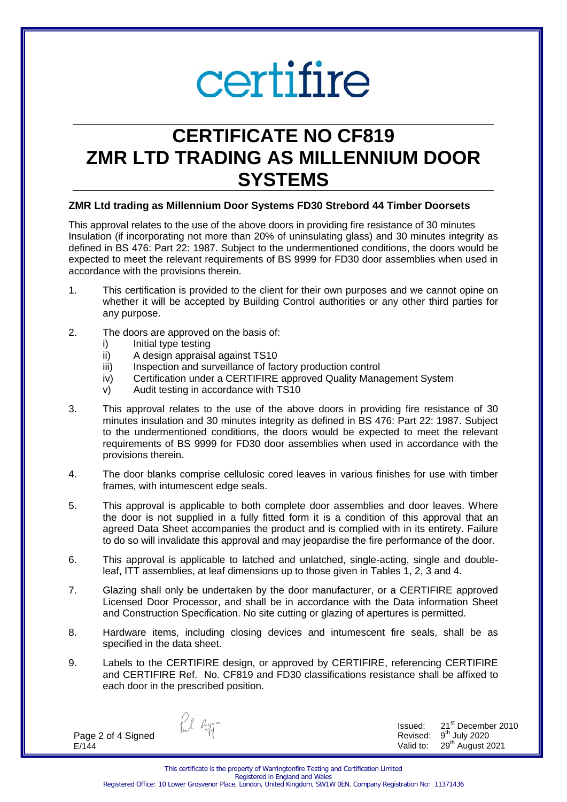### **CERTIFICATE NO CF819 ZMR LTD TRADING AS MILLENNIUM DOOR SYSTEMS**

#### **ZMR Ltd trading as Millennium Door Systems FD30 Strebord 44 Timber Doorsets**

This approval relates to the use of the above doors in providing fire resistance of 30 minutes Insulation (if incorporating not more than 20% of uninsulating glass) and 30 minutes integrity as defined in BS 476: Part 22: 1987. Subject to the undermentioned conditions, the doors would be expected to meet the relevant requirements of BS 9999 for FD30 door assemblies when used in accordance with the provisions therein.

- 1. This certification is provided to the client for their own purposes and we cannot opine on whether it will be accepted by Building Control authorities or any other third parties for any purpose.
- 2. The doors are approved on the basis of:
	- i) Initial type testing
	- ii) A design appraisal against TS10
	- iii) Inspection and surveillance of factory production control
	- iv) Certification under a CERTIFIRE approved Quality Management System
	- v) Audit testing in accordance with TS10
- 3. This approval relates to the use of the above doors in providing fire resistance of 30 minutes insulation and 30 minutes integrity as defined in BS 476: Part 22: 1987. Subject to the undermentioned conditions, the doors would be expected to meet the relevant requirements of BS 9999 for FD30 door assemblies when used in accordance with the provisions therein.
- 4. The door blanks comprise cellulosic cored leaves in various finishes for use with timber frames, with intumescent edge seals.
- 5. This approval is applicable to both complete door assemblies and door leaves. Where the door is not supplied in a fully fitted form it is a condition of this approval that an agreed Data Sheet accompanies the product and is complied with in its entirety. Failure to do so will invalidate this approval and may jeopardise the fire performance of the door.
- 6. This approval is applicable to latched and unlatched, single-acting, single and doubleleaf, ITT assemblies, at leaf dimensions up to those given in Tables 1, 2, 3 and 4.
- 7. Glazing shall only be undertaken by the door manufacturer, or a CERTIFIRE approved Licensed Door Processor, and shall be in accordance with the Data information Sheet and Construction Specification. No site cutting or glazing of apertures is permitted.
- 8. Hardware items, including closing devices and intumescent fire seals, shall be as specified in the data sheet.
- 9. Labels to the CERTIFIRE design, or approved by CERTIFIRE, referencing CERTIFIRE and CERTIFIRE Ref. No. CF819 and FD30 classifications resistance shall be affixed to each door in the prescribed position.

Page 2 of 4 Signed E/144

fil agg-

Issued: 21<sup>st</sup> December 2010 Revised:  $9<sup>th</sup>$  July 2020 Valid to: 29<sup>th</sup> August 2021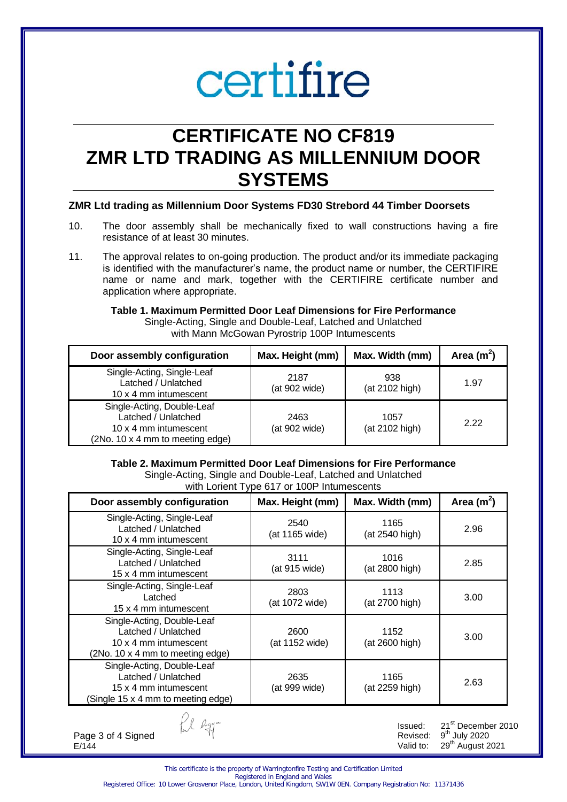### **CERTIFICATE NO CF819 ZMR LTD TRADING AS MILLENNIUM DOOR SYSTEMS**

#### **ZMR Ltd trading as Millennium Door Systems FD30 Strebord 44 Timber Doorsets**

- 10. The door assembly shall be mechanically fixed to wall constructions having a fire resistance of at least 30 minutes.
- 11. The approval relates to on-going production. The product and/or its immediate packaging is identified with the manufacturer's name, the product name or number, the CERTIFIRE name or name and mark, together with the CERTIFIRE certificate number and application where appropriate.

#### **Table 1. Maximum Permitted Door Leaf Dimensions for Fire Performance**

Single-Acting, Single and Double-Leaf, Latched and Unlatched with Mann McGowan Pyrostrip 100P Intumescents

| Door assembly configuration                                                                                    | Max. Height (mm)      | Max. Width (mm)        | Area $(m2)$ |
|----------------------------------------------------------------------------------------------------------------|-----------------------|------------------------|-------------|
| Single-Acting, Single-Leaf<br>Latched / Unlatched<br>10 x 4 mm intumescent                                     | 2187<br>(at 902 wide) | 938<br>(at 2102 high)  | 1.97        |
| Single-Acting, Double-Leaf<br>Latched / Unlatched<br>10 x 4 mm intumescent<br>(2No. 10 x 4 mm to meeting edge) | 2463<br>(at 902 wide) | 1057<br>(at 2102 high) | 2.22        |

#### **Table 2. Maximum Permitted Door Leaf Dimensions for Fire Performance**

Single-Acting, Single and Double-Leaf, Latched and Unlatched with Lorient Type 617 or 100P Intumescents

| Door assembly configuration                                                                                      | Max. Height (mm)       | Max. Width (mm)        | Area $(m^2)$ |
|------------------------------------------------------------------------------------------------------------------|------------------------|------------------------|--------------|
| Single-Acting, Single-Leaf<br>Latched / Unlatched<br>10 x 4 mm intumescent                                       | 2540<br>(at 1165 wide) | 1165<br>(at 2540 high) | 2.96         |
| Single-Acting, Single-Leaf<br>Latched / Unlatched<br>15 x 4 mm intumescent                                       | 3111<br>(at 915 wide)  | 1016<br>(at 2800 high) | 2.85         |
| Single-Acting, Single-Leaf<br>Latched<br>15 x 4 mm intumescent                                                   | 2803<br>(at 1072 wide) | 1113<br>(at 2700 high) | 3.00         |
| Single-Acting, Double-Leaf<br>Latched / Unlatched<br>10 x 4 mm intumescent<br>(2No. 10 x 4 mm to meeting edge)   | 2600<br>(at 1152 wide) | 1152<br>(at 2600 high) | 3.00         |
| Single-Acting, Double-Leaf<br>Latched / Unlatched<br>15 x 4 mm intumescent<br>(Single 15 x 4 mm to meeting edge) | 2635<br>(at 999 wide)  | 1165<br>(at 2259 high) | 2.63         |

Page 3 of 4 Signed E/144

Issued: 21<sup>st</sup> December 2010 Revised:  $9<sup>th</sup>$  July 2020 Valid to: 29<sup>th</sup> August 2021

This certificate is the property of Warringtonfire Testing and Certification Limited Registered in England and Wales

fil Ryg-

Registered Office: 10 Lower Grosvenor Place, London, United Kingdom, SW1W 0EN. Company Registration No: 11371436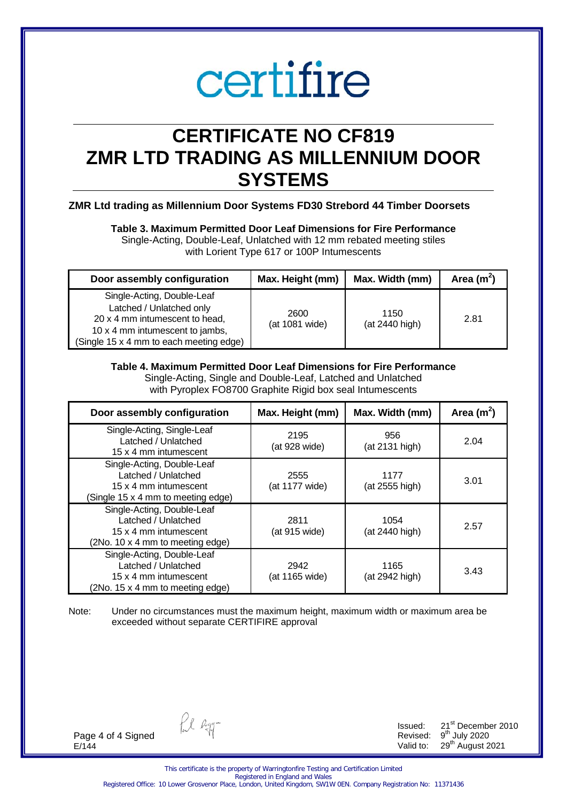## **CERTIFICATE NO CF819 ZMR LTD TRADING AS MILLENNIUM DOOR SYSTEMS**

#### **ZMR Ltd trading as Millennium Door Systems FD30 Strebord 44 Timber Doorsets**

#### **Table 3. Maximum Permitted Door Leaf Dimensions for Fire Performance**

Single-Acting, Double-Leaf, Unlatched with 12 mm rebated meeting stiles with Lorient Type 617 or 100P Intumescents

| Door assembly configuration                                                                                                                                            | Max. Height (mm)       | Max. Width (mm)        | Area $(m2)$ |
|------------------------------------------------------------------------------------------------------------------------------------------------------------------------|------------------------|------------------------|-------------|
| Single-Acting, Double-Leaf<br>Latched / Unlatched only<br>20 x 4 mm intumescent to head,<br>10 x 4 mm intumescent to jambs,<br>(Single 15 x 4 mm to each meeting edge) | 2600<br>(at 1081 wide) | 1150<br>(at 2440 high) | 2.81        |

#### **Table 4. Maximum Permitted Door Leaf Dimensions for Fire Performance**

Single-Acting, Single and Double-Leaf, Latched and Unlatched with Pyroplex FO8700 Graphite Rigid box seal Intumescents

| Door assembly configuration                                                                                      | Max. Height (mm)       | Max. Width (mm)        | Area $(m2)$ |
|------------------------------------------------------------------------------------------------------------------|------------------------|------------------------|-------------|
| Single-Acting, Single-Leaf<br>Latched / Unlatched<br>15 x 4 mm intumescent                                       | 2195<br>(at 928 wide)  | 956<br>(at 2131 high)  | 2.04        |
| Single-Acting, Double-Leaf<br>Latched / Unlatched<br>15 x 4 mm intumescent<br>(Single 15 x 4 mm to meeting edge) | 2555<br>(at 1177 wide) | 1177<br>(at 2555 high) | 3.01        |
| Single-Acting, Double-Leaf<br>Latched / Unlatched<br>15 x 4 mm intumescent<br>(2No. 10 x 4 mm to meeting edge)   | 2811<br>(at 915 wide)  | 1054<br>(at 2440 high) | 2.57        |
| Single-Acting, Double-Leaf<br>Latched / Unlatched<br>15 x 4 mm intumescent<br>(2No. 15 x 4 mm to meeting edge)   | 2942<br>(at 1165 wide) | 1165<br>(at 2942 high) | 3.43        |

Note: Under no circumstances must the maximum height, maximum width or maximum area be exceeded without separate CERTIFIRE approval

Page 4 of 4 Signed E/144

fil agg-

Issued: 21<sup>st</sup> December 2010 Revised:  $9<sup>th</sup>$  July 2020 Valid to: 29<sup>th</sup> August 2021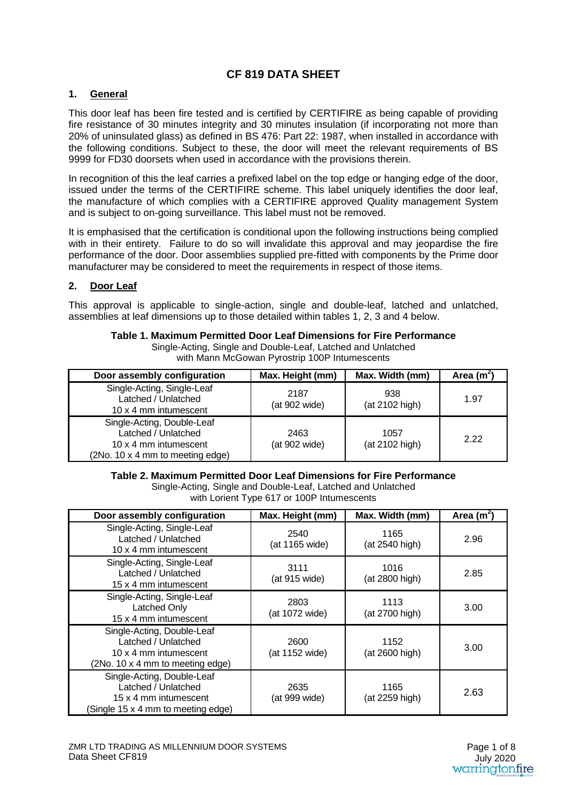### **CF 819 DATA SHEET**

#### **1. General**

This door leaf has been fire tested and is certified by CERTIFIRE as being capable of providing fire resistance of 30 minutes integrity and 30 minutes insulation (if incorporating not more than 20% of uninsulated glass) as defined in BS 476: Part 22: 1987, when installed in accordance with the following conditions. Subject to these, the door will meet the relevant requirements of BS 9999 for FD30 doorsets when used in accordance with the provisions therein.

In recognition of this the leaf carries a prefixed label on the top edge or hanging edge of the door, issued under the terms of the CERTIFIRE scheme. This label uniquely identifies the door leaf, the manufacture of which complies with a CERTIFIRE approved Quality management System and is subject to on-going surveillance. This label must not be removed.

It is emphasised that the certification is conditional upon the following instructions being complied with in their entirety. Failure to do so will invalidate this approval and may jeopardise the fire performance of the door. Door assemblies supplied pre-fitted with components by the Prime door manufacturer may be considered to meet the requirements in respect of those items.

#### **2. Door Leaf**

This approval is applicable to single-action, single and double-leaf, latched and unlatched, assemblies at leaf dimensions up to those detailed within tables 1, 2, 3 and 4 below.

| Table 1. Maximum Permitted Door Leaf Dimensions for Fire Performance |
|----------------------------------------------------------------------|
| Single-Acting, Single and Double-Leaf, Latched and Unlatched         |
| with Mann McGowan Pyrostrip 100P Intumescents                        |

| Door assembly configuration                                                                                    | Max. Height (mm)      | Max. Width (mm)        | Area $(m^2)$ |
|----------------------------------------------------------------------------------------------------------------|-----------------------|------------------------|--------------|
| Single-Acting, Single-Leaf<br>Latched / Unlatched<br>10 x 4 mm intumescent                                     | 2187<br>(at 902 wide) | 938<br>(at 2102 high)  | 1.97         |
| Single-Acting, Double-Leaf<br>Latched / Unlatched<br>10 x 4 mm intumescent<br>(2No. 10 x 4 mm to meeting edge) | 2463<br>(at 902 wide) | 1057<br>(at 2102 high) | 2.22         |

#### **Table 2. Maximum Permitted Door Leaf Dimensions for Fire Performance**

Single-Acting, Single and Double-Leaf, Latched and Unlatched with Lorient Type 617 or 100P Intumescents

| Door assembly configuration                                                                                      | Max. Height (mm)       | Max. Width (mm)        | Area $(m^2)$ |
|------------------------------------------------------------------------------------------------------------------|------------------------|------------------------|--------------|
| Single-Acting, Single-Leaf<br>Latched / Unlatched<br>10 x 4 mm intumescent                                       | 2540<br>(at 1165 wide) | 1165<br>(at 2540 high) | 2.96         |
| Single-Acting, Single-Leaf<br>Latched / Unlatched<br>15 x 4 mm intumescent                                       | 3111<br>(at 915 wide)  | 1016<br>(at 2800 high) | 2.85         |
| Single-Acting, Single-Leaf<br>Latched Only<br>15 x 4 mm intumescent                                              | 2803<br>(at 1072 wide) | 1113<br>(at 2700 high) | 3.00         |
| Single-Acting, Double-Leaf<br>Latched / Unlatched<br>10 x 4 mm intumescent<br>(2No. 10 x 4 mm to meeting edge)   | 2600<br>(at 1152 wide) | 1152<br>(at 2600 high) | 3.00         |
| Single-Acting, Double-Leaf<br>Latched / Unlatched<br>15 x 4 mm intumescent<br>(Single 15 x 4 mm to meeting edge) | 2635<br>(at 999 wide)  | 1165<br>(at 2259 high) | 2.63         |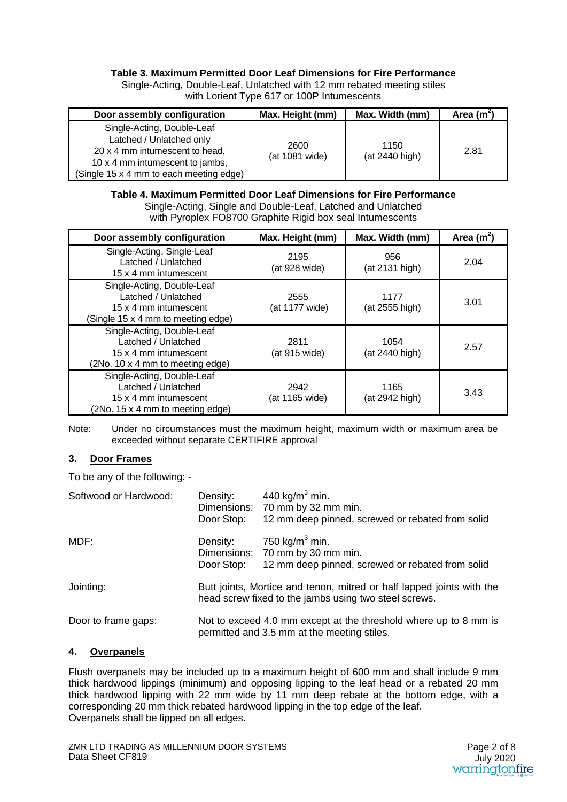#### **Table 3. Maximum Permitted Door Leaf Dimensions for Fire Performance**

Single-Acting, Double-Leaf, Unlatched with 12 mm rebated meeting stiles with Lorient Type 617 or 100P Intumescents

| Door assembly configuration                                                                                                                                            | Max. Height (mm)       | Max. Width (mm)        | Area $(m2)$ |
|------------------------------------------------------------------------------------------------------------------------------------------------------------------------|------------------------|------------------------|-------------|
| Single-Acting, Double-Leaf<br>Latched / Unlatched only<br>20 x 4 mm intumescent to head,<br>10 x 4 mm intumescent to jambs,<br>(Single 15 x 4 mm to each meeting edge) | 2600<br>(at 1081 wide) | 1150<br>(at 2440 high) | 2.81        |

#### **Table 4. Maximum Permitted Door Leaf Dimensions for Fire Performance**  Single-Acting, Single and Double-Leaf, Latched and Unlatched

with Pyroplex FO8700 Graphite Rigid box seal Intumescents

| Door assembly configuration                                                                                      | Max. Height (mm)       | Max. Width (mm)        | Area $(m^2)$ |
|------------------------------------------------------------------------------------------------------------------|------------------------|------------------------|--------------|
| Single-Acting, Single-Leaf<br>Latched / Unlatched<br>15 x 4 mm intumescent                                       | 2195<br>(at 928 wide)  | 956<br>(at 2131 high)  | 2.04         |
| Single-Acting, Double-Leaf<br>Latched / Unlatched<br>15 x 4 mm intumescent<br>(Single 15 x 4 mm to meeting edge) | 2555<br>(at 1177 wide) | 1177<br>(at 2555 high) | 3.01         |
| Single-Acting, Double-Leaf<br>Latched / Unlatched<br>15 x 4 mm intumescent<br>(2No. 10 x 4 mm to meeting edge)   | 2811<br>(at 915 wide)  | 1054<br>(at 2440 high) | 2.57         |
| Single-Acting, Double-Leaf<br>Latched / Unlatched<br>15 x 4 mm intumescent<br>(2No. 15 x 4 mm to meeting edge)   | 2942<br>(at 1165 wide) | 1165<br>(at 2942 high) | 3.43         |

Note: Under no circumstances must the maximum height, maximum width or maximum area be exceeded without separate CERTIFIRE approval

#### **3. Door Frames**

To be any of the following: -

| Softwood or Hardwood: | Density:<br>Door Stop: | 440 kg/m <sup>3</sup> min.<br>Dimensions: 70 mm by 32 mm min.<br>12 mm deep pinned, screwed or rebated from solid              |
|-----------------------|------------------------|--------------------------------------------------------------------------------------------------------------------------------|
| MDF:                  | Density:<br>Door Stop: | 750 kg/m <sup>3</sup> min.<br>Dimensions: 70 mm by 30 mm min.<br>12 mm deep pinned, screwed or rebated from solid              |
| Jointing:             |                        | Butt joints, Mortice and tenon, mitred or half lapped joints with the<br>head screw fixed to the jambs using two steel screws. |
| Door to frame gaps:   |                        | Not to exceed 4.0 mm except at the threshold where up to 8 mm is<br>permitted and 3.5 mm at the meeting stiles.                |

#### **4. Overpanels**

Flush overpanels may be included up to a maximum height of 600 mm and shall include 9 mm thick hardwood lippings (minimum) and opposing lipping to the leaf head or a rebated 20 mm thick hardwood lipping with 22 mm wide by 11 mm deep rebate at the bottom edge, with a corresponding 20 mm thick rebated hardwood lipping in the top edge of the leaf. Overpanels shall be lipped on all edges.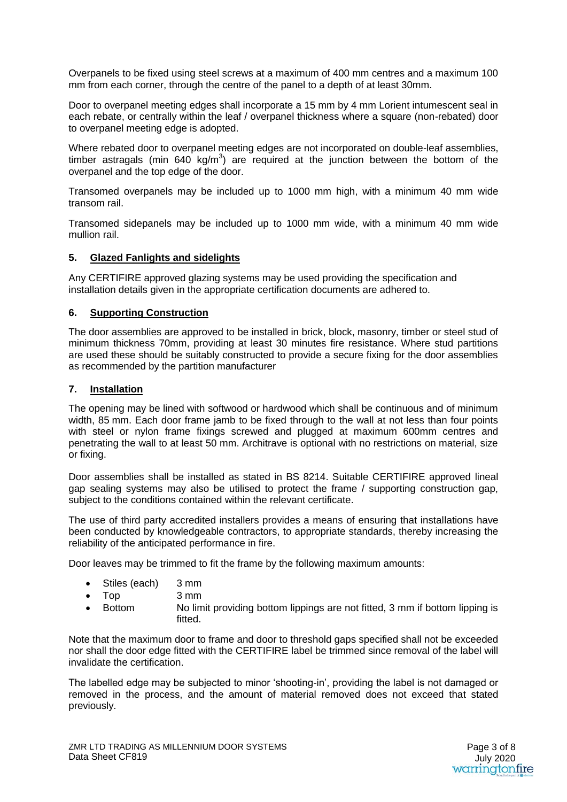Overpanels to be fixed using steel screws at a maximum of 400 mm centres and a maximum 100 mm from each corner, through the centre of the panel to a depth of at least 30mm.

Door to overpanel meeting edges shall incorporate a 15 mm by 4 mm Lorient intumescent seal in each rebate, or centrally within the leaf / overpanel thickness where a square (non-rebated) door to overpanel meeting edge is adopted.

Where rebated door to overpanel meeting edges are not incorporated on double-leaf assemblies, timber astragals (min 640 kg/m<sup>3</sup>) are required at the junction between the bottom of the overpanel and the top edge of the door.

Transomed overpanels may be included up to 1000 mm high, with a minimum 40 mm wide transom rail.

Transomed sidepanels may be included up to 1000 mm wide, with a minimum 40 mm wide mullion rail.

#### **5. Glazed Fanlights and sidelights**

Any CERTIFIRE approved glazing systems may be used providing the specification and installation details given in the appropriate certification documents are adhered to.

#### **6. Supporting Construction**

The door assemblies are approved to be installed in brick, block, masonry, timber or steel stud of minimum thickness 70mm, providing at least 30 minutes fire resistance. Where stud partitions are used these should be suitably constructed to provide a secure fixing for the door assemblies as recommended by the partition manufacturer

#### **7. Installation**

The opening may be lined with softwood or hardwood which shall be continuous and of minimum width, 85 mm. Each door frame jamb to be fixed through to the wall at not less than four points with steel or nylon frame fixings screwed and plugged at maximum 600mm centres and penetrating the wall to at least 50 mm. Architrave is optional with no restrictions on material, size or fixing.

Door assemblies shall be installed as stated in BS 8214. Suitable CERTIFIRE approved lineal gap sealing systems may also be utilised to protect the frame / supporting construction gap, subject to the conditions contained within the relevant certificate.

The use of third party accredited installers provides a means of ensuring that installations have been conducted by knowledgeable contractors, to appropriate standards, thereby increasing the reliability of the anticipated performance in fire.

Door leaves may be trimmed to fit the frame by the following maximum amounts:

- Stiles (each) 3 mm
- Top 3 mm
- Bottom No limit providing bottom lippings are not fitted, 3 mm if bottom lipping is fitted.

Note that the maximum door to frame and door to threshold gaps specified shall not be exceeded nor shall the door edge fitted with the CERTIFIRE label be trimmed since removal of the label will invalidate the certification.

The labelled edge may be subjected to minor 'shooting-in', providing the label is not damaged or removed in the process, and the amount of material removed does not exceed that stated previously.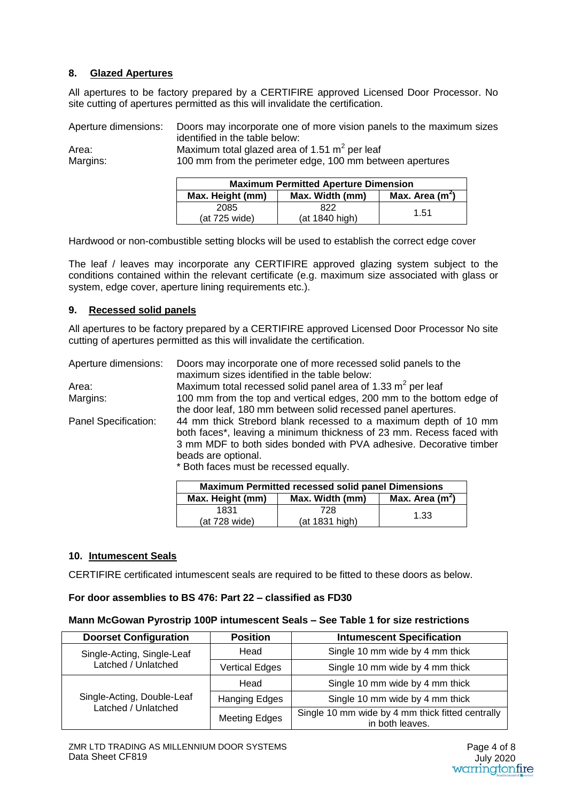#### **8. Glazed Apertures**

All apertures to be factory prepared by a CERTIFIRE approved Licensed Door Processor. No site cutting of apertures permitted as this will invalidate the certification.

Aperture dimensions: Doors may incorporate one of more vision panels to the maximum sizes identified in the table below: Area: Maximum total glazed area of 1.51  $\text{m}^2$  per leaf Margins: 100 mm from the perimeter edge, 100 mm between apertures

| <b>Maximum Permitted Aperture Dimension</b> |                 |                  |
|---------------------------------------------|-----------------|------------------|
| Max. Height (mm)                            | Max. Width (mm) | Max. Area $(m2)$ |
| 2085                                        | 822             | 1.51             |
| (at 725 wide)                               | (at 1840 high)  |                  |

Hardwood or non-combustible setting blocks will be used to establish the correct edge cover

The leaf / leaves may incorporate any CERTIFIRE approved glazing system subject to the conditions contained within the relevant certificate (e.g. maximum size associated with glass or system, edge cover, aperture lining requirements etc.).

#### **9. Recessed solid panels**

All apertures to be factory prepared by a CERTIFIRE approved Licensed Door Processor No site cutting of apertures permitted as this will invalidate the certification.

| Aperture dimensions: | Doors may incorporate one of more recessed solid panels to the                                                                                                                                                                       |
|----------------------|--------------------------------------------------------------------------------------------------------------------------------------------------------------------------------------------------------------------------------------|
|                      | maximum sizes identified in the table below:                                                                                                                                                                                         |
| Area:                | Maximum total recessed solid panel area of 1.33 m <sup>2</sup> per leaf                                                                                                                                                              |
| Margins:             | 100 mm from the top and vertical edges, 200 mm to the bottom edge of                                                                                                                                                                 |
|                      | the door leaf, 180 mm between solid recessed panel apertures.                                                                                                                                                                        |
| Panel Specification: | 44 mm thick Strebord blank recessed to a maximum depth of 10 mm<br>both faces*, leaving a minimum thickness of 23 mm. Recess faced with<br>3 mm MDF to both sides bonded with PVA adhesive. Decorative timber<br>beads are optional. |
|                      | * Both faces must be recessed equally.                                                                                                                                                                                               |
|                      | <b>All contact and Property Contact and Contact All Contact All Contact and Contact All Contact All Contact All Contact All Contact All Contact All Contact All Contact All Contact All Contact All Contact All Contact All Cont</b> |

| <b>Maximum Permitted recessed solid panel Dimensions</b> |                 |                   |
|----------------------------------------------------------|-----------------|-------------------|
| Max. Height (mm)                                         | Max. Width (mm) | Max. Area $(m^2)$ |
| 1831                                                     | 728             | 1.33              |
| (at 728 wide)                                            | (at 1831 high)  |                   |

#### **10. Intumescent Seals**

CERTIFIRE certificated intumescent seals are required to be fitted to these doors as below.

#### **For door assemblies to BS 476: Part 22 – classified as FD30**

#### **Mann McGowan Pyrostrip 100P intumescent Seals – See Table 1 for size restrictions**

| <b>Doorset Configuration</b>                      | <b>Position</b>       | <b>Intumescent Specification</b>                                    |
|---------------------------------------------------|-----------------------|---------------------------------------------------------------------|
| Single-Acting, Single-Leaf<br>Latched / Unlatched | Head                  | Single 10 mm wide by 4 mm thick                                     |
|                                                   | <b>Vertical Edges</b> | Single 10 mm wide by 4 mm thick                                     |
| Single-Acting, Double-Leaf<br>Latched / Unlatched | Head                  | Single 10 mm wide by 4 mm thick                                     |
|                                                   | Hanging Edges         | Single 10 mm wide by 4 mm thick                                     |
|                                                   | <b>Meeting Edges</b>  | Single 10 mm wide by 4 mm thick fitted centrally<br>in both leaves. |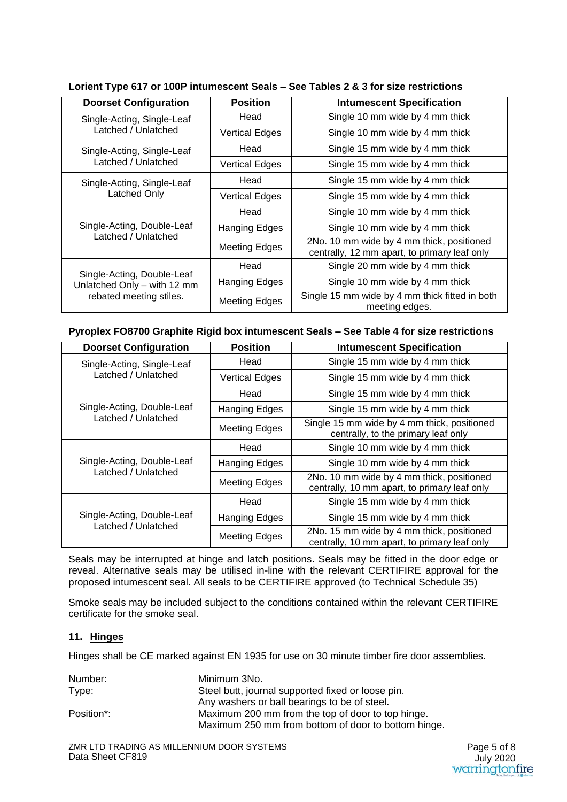| <b>Doorset Configuration</b>                                                         | <b>Position</b>       | <b>Intumescent Specification</b>                                                          |
|--------------------------------------------------------------------------------------|-----------------------|-------------------------------------------------------------------------------------------|
| Single-Acting, Single-Leaf<br>Latched / Unlatched                                    | Head                  | Single 10 mm wide by 4 mm thick                                                           |
|                                                                                      | <b>Vertical Edges</b> | Single 10 mm wide by 4 mm thick                                                           |
| Single-Acting, Single-Leaf<br>Latched / Unlatched                                    | Head                  | Single 15 mm wide by 4 mm thick                                                           |
|                                                                                      | <b>Vertical Edges</b> | Single 15 mm wide by 4 mm thick                                                           |
| Single-Acting, Single-Leaf<br>Latched Only                                           | Head                  | Single 15 mm wide by 4 mm thick                                                           |
|                                                                                      | <b>Vertical Edges</b> | Single 15 mm wide by 4 mm thick                                                           |
| Single-Acting, Double-Leaf<br>Latched / Unlatched                                    | Head                  | Single 10 mm wide by 4 mm thick                                                           |
|                                                                                      | <b>Hanging Edges</b>  | Single 10 mm wide by 4 mm thick                                                           |
|                                                                                      | Meeting Edges         | 2No. 10 mm wide by 4 mm thick, positioned<br>centrally, 12 mm apart, to primary leaf only |
| Single-Acting, Double-Leaf<br>Unlatched Only - with 12 mm<br>rebated meeting stiles. | Head                  | Single 20 mm wide by 4 mm thick                                                           |
|                                                                                      | Hanging Edges         | Single 10 mm wide by 4 mm thick                                                           |
|                                                                                      | <b>Meeting Edges</b>  | Single 15 mm wide by 4 mm thick fitted in both<br>meeting edges.                          |

#### **Lorient Type 617 or 100P intumescent Seals – See Tables 2 & 3 for size restrictions**

#### **Pyroplex FO8700 Graphite Rigid box intumescent Seals – See Table 4 for size restrictions**

| <b>Doorset Configuration</b>                      | <b>Position</b>       | <b>Intumescent Specification</b>                                                          |
|---------------------------------------------------|-----------------------|-------------------------------------------------------------------------------------------|
| Single-Acting, Single-Leaf<br>Latched / Unlatched | Head                  | Single 15 mm wide by 4 mm thick                                                           |
|                                                   | <b>Vertical Edges</b> | Single 15 mm wide by 4 mm thick                                                           |
| Single-Acting, Double-Leaf<br>Latched / Unlatched | Head                  | Single 15 mm wide by 4 mm thick                                                           |
|                                                   | Hanging Edges         | Single 15 mm wide by 4 mm thick                                                           |
|                                                   | Meeting Edges         | Single 15 mm wide by 4 mm thick, positioned<br>centrally, to the primary leaf only        |
| Single-Acting, Double-Leaf<br>Latched / Unlatched | Head                  | Single 10 mm wide by 4 mm thick                                                           |
|                                                   | Hanging Edges         | Single 10 mm wide by 4 mm thick                                                           |
|                                                   | Meeting Edges         | 2No. 10 mm wide by 4 mm thick, positioned<br>centrally, 10 mm apart, to primary leaf only |
| Single-Acting, Double-Leaf<br>Latched / Unlatched | Head                  | Single 15 mm wide by 4 mm thick                                                           |
|                                                   | Hanging Edges         | Single 15 mm wide by 4 mm thick                                                           |
|                                                   | Meeting Edges         | 2No. 15 mm wide by 4 mm thick, positioned<br>centrally, 10 mm apart, to primary leaf only |

Seals may be interrupted at hinge and latch positions. Seals may be fitted in the door edge or reveal. Alternative seals may be utilised in-line with the relevant CERTIFIRE approval for the proposed intumescent seal. All seals to be CERTIFIRE approved (to Technical Schedule 35)

Smoke seals may be included subject to the conditions contained within the relevant CERTIFIRE certificate for the smoke seal.

#### **11. Hinges**

Hinges shall be CE marked against EN 1935 for use on 30 minute timber fire door assemblies.

| Number:    | Minimum 3No.                                        |
|------------|-----------------------------------------------------|
| Type:      | Steel butt, journal supported fixed or loose pin.   |
|            | Any washers or ball bearings to be of steel.        |
| Position*: | Maximum 200 mm from the top of door to top hinge.   |
|            | Maximum 250 mm from bottom of door to bottom hinge. |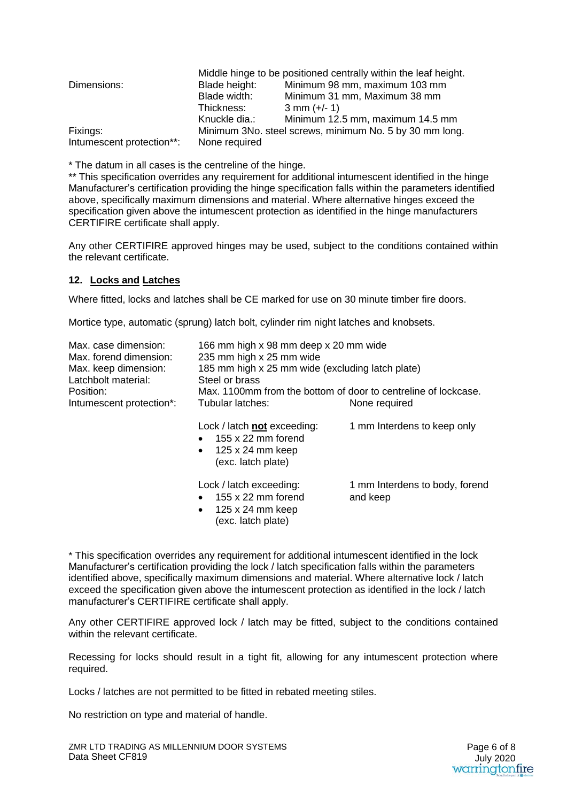|                           |                                                         | Middle hinge to be positioned centrally within the leaf height. |
|---------------------------|---------------------------------------------------------|-----------------------------------------------------------------|
| Dimensions:               | Blade height:                                           | Minimum 98 mm, maximum 103 mm                                   |
|                           | Blade width:                                            | Minimum 31 mm, Maximum 38 mm                                    |
|                           | Thickness:                                              | $3$ mm $(+/- 1)$                                                |
|                           | Knuckle dia.:                                           | Minimum 12.5 mm, maximum 14.5 mm                                |
| Fixings:                  | Minimum 3No. steel screws, minimum No. 5 by 30 mm long. |                                                                 |
| Intumescent protection**: | None required                                           |                                                                 |

\* The datum in all cases is the centreline of the hinge.

\*\* This specification overrides any requirement for additional intumescent identified in the hinge Manufacturer's certification providing the hinge specification falls within the parameters identified above, specifically maximum dimensions and material. Where alternative hinges exceed the specification given above the intumescent protection as identified in the hinge manufacturers CERTIFIRE certificate shall apply.

Any other CERTIFIRE approved hinges may be used, subject to the conditions contained within the relevant certificate.

#### **12. Locks and Latches**

Where fitted, locks and latches shall be CE marked for use on 30 minute timber fire doors.

Mortice type, automatic (sprung) latch bolt, cylinder rim night latches and knobsets.

| Max. case dimension:<br>Max. forend dimension:<br>Max. keep dimension:<br>Latchbolt material:<br>Position: | 166 mm high x 98 mm deep x 20 mm wide<br>235 mm high x 25 mm wide<br>185 mm high x 25 mm wide (excluding latch plate)<br>Steel or brass<br>Max, 1100mm from the bottom of door to centreline of lockcase. |                                            |  |
|------------------------------------------------------------------------------------------------------------|-----------------------------------------------------------------------------------------------------------------------------------------------------------------------------------------------------------|--------------------------------------------|--|
| Intumescent protection*:                                                                                   | Tubular latches:                                                                                                                                                                                          | None required                              |  |
|                                                                                                            | Lock / latch not exceeding:<br>155 x 22 mm forend<br>$\bullet$<br>$125 \times 24$ mm keep<br>$\bullet$<br>(exc. latch plate)                                                                              | 1 mm Interdens to keep only                |  |
|                                                                                                            | Lock / latch exceeding:<br>155 x 22 mm forend<br>$\bullet$<br>125 x 24 mm keep<br>$\bullet$<br>(exc. latch plate)                                                                                         | 1 mm Interdens to body, forend<br>and keep |  |

\* This specification overrides any requirement for additional intumescent identified in the lock Manufacturer's certification providing the lock / latch specification falls within the parameters identified above, specifically maximum dimensions and material. Where alternative lock / latch exceed the specification given above the intumescent protection as identified in the lock / latch manufacturer's CERTIFIRE certificate shall apply.

Any other CERTIFIRE approved lock / latch may be fitted, subject to the conditions contained within the relevant certificate.

Recessing for locks should result in a tight fit, allowing for any intumescent protection where required.

Locks / latches are not permitted to be fitted in rebated meeting stiles.

No restriction on type and material of handle.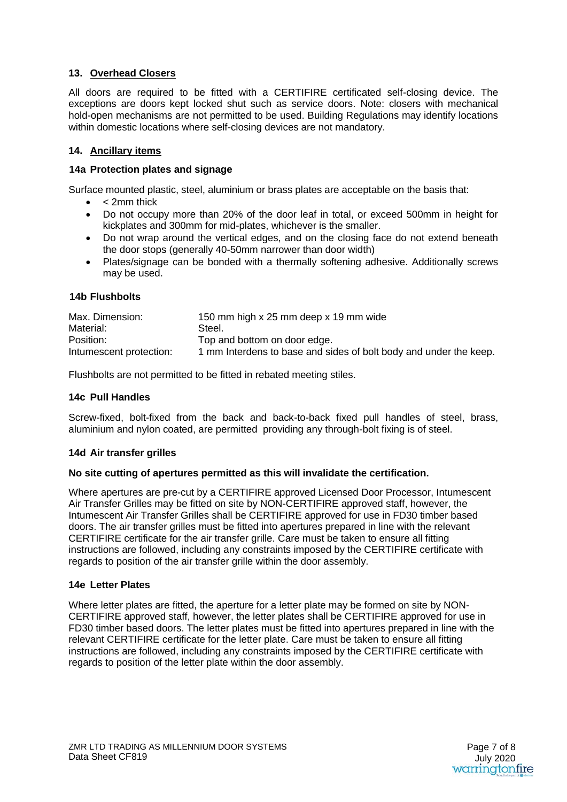#### **13. Overhead Closers**

All doors are required to be fitted with a CERTIFIRE certificated self-closing device. The exceptions are doors kept locked shut such as service doors. Note: closers with mechanical hold-open mechanisms are not permitted to be used. Building Regulations may identify locations within domestic locations where self-closing devices are not mandatory.

#### **14. Ancillary items**

#### **14a Protection plates and signage**

Surface mounted plastic, steel, aluminium or brass plates are acceptable on the basis that:

- $\bullet$  < 2mm thick
- Do not occupy more than 20% of the door leaf in total, or exceed 500mm in height for kickplates and 300mm for mid-plates, whichever is the smaller.
- Do not wrap around the vertical edges, and on the closing face do not extend beneath the door stops (generally 40-50mm narrower than door width)
- Plates/signage can be bonded with a thermally softening adhesive. Additionally screws may be used.

#### **14b Flushbolts**

| Max. Dimension:         | 150 mm high x 25 mm deep x 19 mm wide                             |
|-------------------------|-------------------------------------------------------------------|
| Material:               | Steel.                                                            |
| Position:               | Top and bottom on door edge.                                      |
| Intumescent protection: | 1 mm Interdens to base and sides of bolt body and under the keep. |

Flushbolts are not permitted to be fitted in rebated meeting stiles.

#### **14c Pull Handles**

Screw-fixed, bolt-fixed from the back and back-to-back fixed pull handles of steel, brass, aluminium and nylon coated, are permitted providing any through-bolt fixing is of steel.

#### **14d Air transfer grilles**

#### **No site cutting of apertures permitted as this will invalidate the certification.**

Where apertures are pre-cut by a CERTIFIRE approved Licensed Door Processor, Intumescent Air Transfer Grilles may be fitted on site by NON-CERTIFIRE approved staff, however, the Intumescent Air Transfer Grilles shall be CERTIFIRE approved for use in FD30 timber based doors. The air transfer grilles must be fitted into apertures prepared in line with the relevant CERTIFIRE certificate for the air transfer grille. Care must be taken to ensure all fitting instructions are followed, including any constraints imposed by the CERTIFIRE certificate with regards to position of the air transfer grille within the door assembly.

#### **14e Letter Plates**

Where letter plates are fitted, the aperture for a letter plate may be formed on site by NON-CERTIFIRE approved staff, however, the letter plates shall be CERTIFIRE approved for use in FD30 timber based doors. The letter plates must be fitted into apertures prepared in line with the relevant CERTIFIRE certificate for the letter plate. Care must be taken to ensure all fitting instructions are followed, including any constraints imposed by the CERTIFIRE certificate with regards to position of the letter plate within the door assembly.